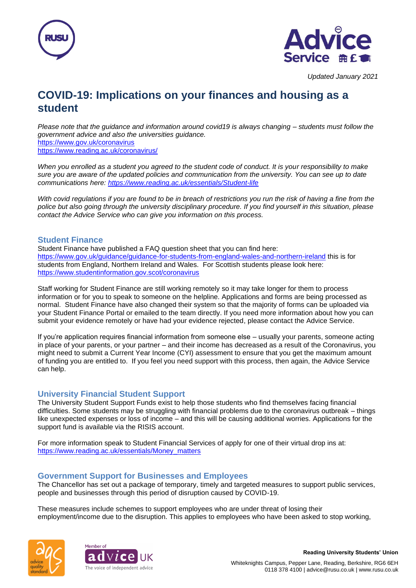



# **COVID-19: Implications on your finances and housing as a student**

*Please note that the guidance and information around covid19 is always changing – students must follow the government advice and also the universities guidance.* <https://www.gov.uk/coronavirus> <https://www.reading.ac.uk/coronavirus/>

*When you enrolled as a student you agreed to the student code of conduct. It is your responsibility to make sure you are aware of the updated policies and communication from the university. You can see up to date communications here:<https://www.reading.ac.uk/essentials/Student-life>*

*With covid regulations if you are found to be in breach of restrictions you run the risk of having a fine from the police but also going through the university disciplinary procedure. If you find yourself in this situation, please contact the Advice Service who can give you information on this process.*

#### **Student Finance**

Student Finance have published a FAQ question sheet that you can find here: <https://www.gov.uk/guidance/guidance-for-students-from-england-wales-and-northern-ireland> this is for students from England, Northern Ireland and Wales. For Scottish students please look here: <https://www.studentinformation.gov.scot/coronavirus>

Staff working for Student Finance are still working remotely so it may take longer for them to process information or for you to speak to someone on the helpline. Applications and forms are being processed as normal. Student Finance have also changed their system so that the majority of forms can be uploaded via your Student Finance Portal or emailed to the team directly. If you need more information about how you can submit your evidence remotely or have had your evidence rejected, please contact the Advice Service.

If you're application requires financial information from someone else – usually your parents, someone acting in place of your parents, or your partner – and their income has decreased as a result of the Coronavirus, you might need to submit a Current Year Income (CYI) assessment to ensure that you get the maximum amount of funding you are entitled to. If you feel you need support with this process, then again, the Advice Service can help.

## **University Financial Student Support**

The University Student Support Funds exist to help those students who find themselves facing financial difficulties. Some students may be struggling with financial problems due to the coronavirus outbreak – things like unexpected expenses or loss of income – and this will be causing additional worries. Applications for the support fund is available via the RISIS account.

For more information speak to Student Financial Services of apply for one of their virtual drop ins at: [https://www.reading.ac.uk/essentials/Money\\_matters](https://www.reading.ac.uk/essentials/Money_matters)

## **Government Support for Businesses and Employees**

The Chancellor has set out a package of temporary, timely and targeted measures to support public services, people and businesses through this period of disruption caused by COVID-19.

These measures include schemes to support employees who are under threat of losing their employment/income due to the disruption. This applies to employees who have been asked to stop working,





**Reading University Students' Union**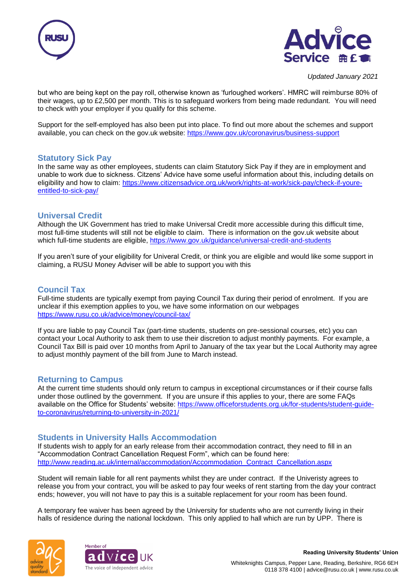



but who are being kept on the pay roll, otherwise known as 'furloughed workers'. HMRC will reimburse 80% of their wages, up to £2,500 per month. This is to safeguard workers from being made redundant. You will need to check with your employer if you qualify for this scheme.

Support for the self-employed has also been put into place. To find out more about the schemes and support available, you can check on the gov.uk website:<https://www.gov.uk/coronavirus/business-support>

## **Statutory Sick Pay**

In the same way as other employees, students can claim Statutory Sick Pay if they are in employment and unable to work due to sickness. Citzens' Advice have some useful information about this, including details on eligibility and how to claim: [https://www.citizensadvice.org.uk/work/rights-at-work/sick-pay/check-if-youre](https://www.citizensadvice.org.uk/work/rights-at-work/sick-pay/check-if-youre-entitled-to-sick-pay/)[entitled-to-sick-pay/](https://www.citizensadvice.org.uk/work/rights-at-work/sick-pay/check-if-youre-entitled-to-sick-pay/)

## **Universal Credit**

Although the UK Government has tried to make Universal Credit more accessible during this difficult time, most full-time students will still not be eligible to claim. There is information on the gov.uk website about which full-time students are eligible,<https://www.gov.uk/guidance/universal-credit-and-students>

If you aren't sure of your eligibility for Univeral Credit, or think you are eligible and would like some support in claiming, a RUSU Money Adviser will be able to support you with this

# **Council Tax**

Full-time students are typically exempt from paying Council Tax during their period of enrolment. If you are unclear if this exemption applies to you, we have some information on our webpages <https://www.rusu.co.uk/advice/money/council-tax/>

If you are liable to pay Council Tax (part-time students, students on pre-sessional courses, etc) you can contact your Local Authority to ask them to use their discretion to adjust monthly payments. For example, a Council Tax Bill is paid over 10 months from April to January of the tax year but the Local Authority may agree to adjust monthly payment of the bill from June to March instead.

#### **Returning to Campus**

At the current time students should only return to campus in exceptional circumstances or if their course falls under those outlined by the government. If you are unsure if this applies to your, there are some FAQs available on the Office for Students' website: [https://www.officeforstudents.org.uk/for-students/student-guide](https://www.officeforstudents.org.uk/for-students/student-guide-to-coronavirus/returning-to-university-in-2021/)[to-coronavirus/returning-to-university-in-2021/](https://www.officeforstudents.org.uk/for-students/student-guide-to-coronavirus/returning-to-university-in-2021/)

## **Students in University Halls Accommodation**

If students wish to apply for an early release from their accommodation contract, they need to fill in an "Accommodation Contract Cancellation Request Form", which can be found here: [http://www.reading.ac.uk/internal/accommodation/Accommodation\\_Contract\\_Cancellation.aspx](http://www.reading.ac.uk/internal/accommodation/Accommodation_Contract_Cancellation.aspx)

Student will remain liable for all rent payments whilst they are under contract. If the Univeristy agrees to release you from your contract, you will be asked to pay four weeks of rent starting from the day your contract ends; however, you will not have to pay this is a suitable replacement for your room has been found.

A temporary fee waiver has been agreed by the University for students who are not currently living in their halls of residence during the national lockdown. This only applied to hall which are run by UPP. There is





**Reading University Students' Union**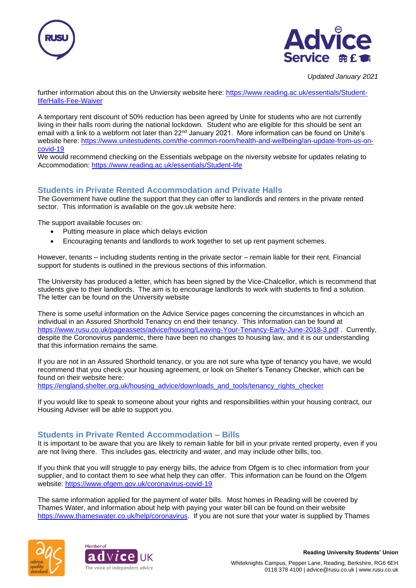



further information about this on the Unviersity website here: [https://www.reading.ac.uk/essentials/Student](https://www.reading.ac.uk/essentials/Student-life/Halls-Fee-Waiver)[life/Halls-Fee-Waiver](https://www.reading.ac.uk/essentials/Student-life/Halls-Fee-Waiver)

A temportary rent discount of 50% reduction has been agreed by Unite for students who are not currently living in their halls room during the national lockdown. Student who are eligible for this should be sent an email with a link to a webform not later than 22<sup>nd</sup> January 2021. More information can be found on Unite's website here: [https://www.unitestudents.com/the-common-room/health-and-wellbeing/an-update-from-us-on](https://www.unitestudents.com/the-common-room/health-and-wellbeing/an-update-from-us-on-covid-19)[covid-19](https://www.unitestudents.com/the-common-room/health-and-wellbeing/an-update-from-us-on-covid-19)

We would recommend checking on the Essentials webpage on the niversity website for updates relating to Accommodation: <https://www.reading.ac.uk/essentials/Student-life>

# **Students in Private Rented Accommodation and Private Halls**

The Government have outline the support that they can offer to landlords and renters in the private rented sector. This information is available on the gov.uk website here:

The support available focuses on:

- Putting measure in place which delays eviction
- Encouraging tenants and landlords to work together to set up rent payment schemes.

However, tenants – including students renting in the private sector – remain liable for their rent. Financial support for students is outlined in the previous sections of this information.

The University has produced a letter, which has been signed by the Vice-Chalcellor, which is recommend that students give to their landlords. The aim is to encourage landlords to work with students to find a solution. The letter can be found on the University website

There is some useful information on the Advice Service pages concerning the circumstances in whcich an individual in an Assured Shorthold Tenancy cn end their tenancy. This information can be found at <https://www.rusu.co.uk/pageassets/advice/housing/Leaving-Your-Tenancy-Early-June-2018-3.pdf> . Currently, despite the Coronovirus pandemic, there have been no changes to housing law, and it is our understanding that this information remains the same.

If you are not in an Assured Shorthold tenancy, or you are not sure wha type of tenancy you have, we would recommend that you check your housing agreement, or look on Shelter's Tenancy Checker, which can be found on their website here:

[https://england.shelter.org.uk/housing\\_advice/downloads\\_and\\_tools/tenancy\\_rights\\_checker](https://england.shelter.org.uk/housing_advice/downloads_and_tools/tenancy_rights_checker)

If you would like to speak to someone about your rights and responsibilities within your housing contract, our Housing Adviser will be able to support you.

## **Students in Private Rented Accommodation – Bills**

It is important to be aware that you are likely to remain liable for bill in your private rented property, even if you are not living there. This includes gas, electricity and water, and may include other bills, too.

If you think that you will struggle to pay energy bills, the advice from Ofgem is to chec information from your supplier, and to contact them to see what help they can offer. This information can be found on the Ofgem website:<https://www.ofgem.gov.uk/coronavirus-covid-19>

The same information applied for the payment of water bills. Most homes in Reading will be covered by Thames Water, and information about help with paying your water bill can be found on their website https://www.thameswater.co.uk/help/coronavirus. If you are not sure that your water is supplied by Thames





**Reading University Students' Union**